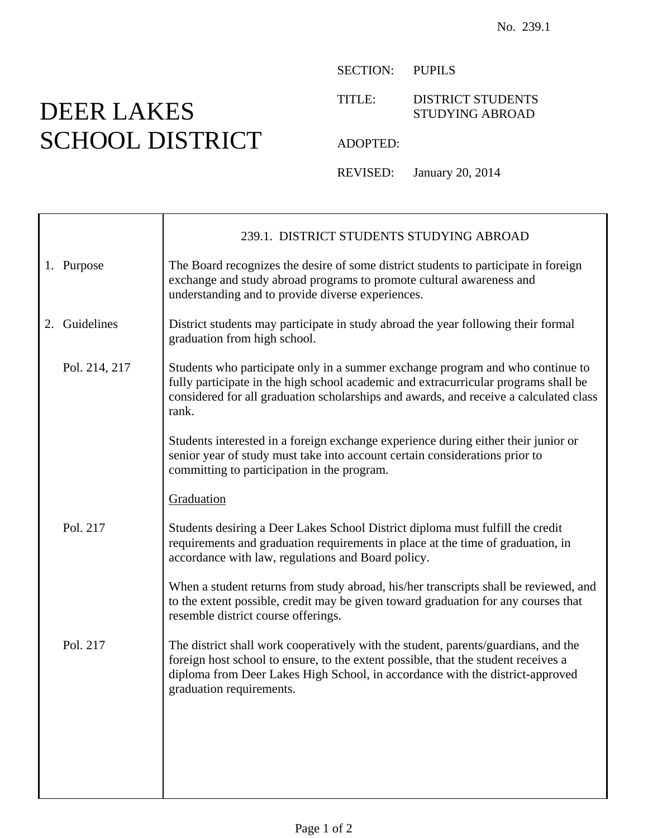## DEER LAKES SCHOOL DISTRICT

SECTION: PUPILS

TITLE: DISTRICT STUDENTS STUDYING ABROAD

ADOPTED:

REVISED: January 20, 2014

|               | 239.1. DISTRICT STUDENTS STUDYING ABROAD                                                                                                                                                                                                                                              |
|---------------|---------------------------------------------------------------------------------------------------------------------------------------------------------------------------------------------------------------------------------------------------------------------------------------|
| 1. Purpose    | The Board recognizes the desire of some district students to participate in foreign<br>exchange and study abroad programs to promote cultural awareness and<br>understanding and to provide diverse experiences.                                                                      |
| 2. Guidelines | District students may participate in study abroad the year following their formal<br>graduation from high school.                                                                                                                                                                     |
| Pol. 214, 217 | Students who participate only in a summer exchange program and who continue to<br>fully participate in the high school academic and extracurricular programs shall be<br>considered for all graduation scholarships and awards, and receive a calculated class<br>rank.               |
|               | Students interested in a foreign exchange experience during either their junior or<br>senior year of study must take into account certain considerations prior to<br>committing to participation in the program.                                                                      |
|               | Graduation                                                                                                                                                                                                                                                                            |
| Pol. 217      | Students desiring a Deer Lakes School District diploma must fulfill the credit<br>requirements and graduation requirements in place at the time of graduation, in<br>accordance with law, regulations and Board policy.                                                               |
|               | When a student returns from study abroad, his/her transcripts shall be reviewed, and<br>to the extent possible, credit may be given toward graduation for any courses that<br>resemble district course offerings.                                                                     |
| Pol. 217      | The district shall work cooperatively with the student, parents/guardians, and the<br>foreign host school to ensure, to the extent possible, that the student receives a<br>diploma from Deer Lakes High School, in accordance with the district-approved<br>graduation requirements. |
|               |                                                                                                                                                                                                                                                                                       |
|               |                                                                                                                                                                                                                                                                                       |
|               |                                                                                                                                                                                                                                                                                       |